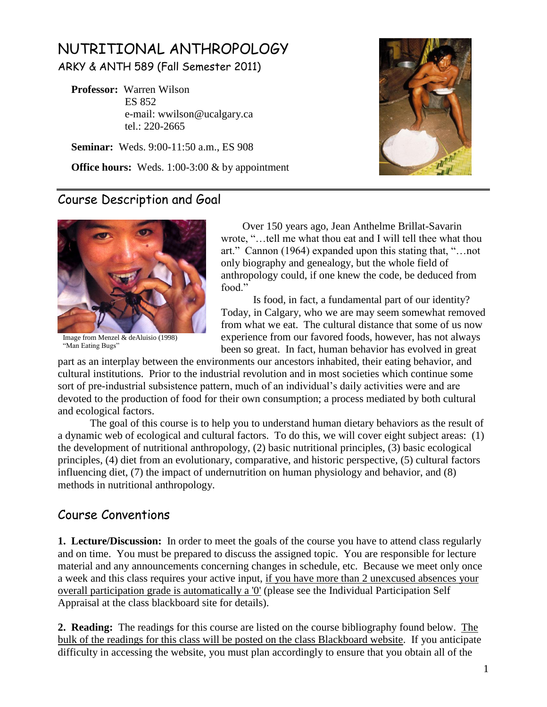# NUTRITIONAL ANTHROPOLOGY ARKY & ANTH 589 (Fall Semester 2011)

 **Professor:** Warren Wilson ES 852 e-mail: wwilson@ucalgary.ca tel.: 220-2665

 **Seminar:** Weds. 9:00-11:50 a.m., ES 908

**Office hours:** Weds. 1:00-3:00 & by appointment



#### Course Description and Goal



Image from Menzel & deAluisio (1998) "Man Eating Bugs"

 Over 150 years ago, Jean Anthelme Brillat-Savarin wrote, "...tell me what thou eat and I will tell thee what thou art." Cannon (1964) expanded upon this stating that, " $\dots$  not only biography and genealogy, but the whole field of anthropology could, if one knew the code, be deduced from food<sup>"</sup>

Is food, in fact, a fundamental part of our identity? Today, in Calgary, who we are may seem somewhat removed from what we eat. The cultural distance that some of us now experience from our favored foods, however, has not always been so great. In fact, human behavior has evolved in great

part as an interplay between the environments our ancestors inhabited, their eating behavior, and cultural institutions. Prior to the industrial revolution and in most societies which continue some sort of pre-industrial subsistence pattern, much of an individual's daily activities were and are devoted to the production of food for their own consumption; a process mediated by both cultural and ecological factors.

The goal of this course is to help you to understand human dietary behaviors as the result of a dynamic web of ecological and cultural factors. To do this, we will cover eight subject areas: (1) the development of nutritional anthropology, (2) basic nutritional principles, (3) basic ecological principles, (4) diet from an evolutionary, comparative, and historic perspective, (5) cultural factors influencing diet, (7) the impact of undernutrition on human physiology and behavior, and (8) methods in nutritional anthropology.

### Course Conventions

**1. Lecture/Discussion:**In order to meet the goals of the course you have to attend class regularly and on time. You must be prepared to discuss the assigned topic. You are responsible for lecture material and any announcements concerning changes in schedule, etc. Because we meet only once a week and this class requires your active input, if you have more than 2 unexcused absences your overall participation grade is automatically a '0' (please see the Individual Participation Self Appraisal at the class blackboard site for details).

**2. Reading:** The readings for this course are listed on the course bibliography found below. The bulk of the readings for this class will be posted on the class Blackboard website. If you anticipate difficulty in accessing the website, you must plan accordingly to ensure that you obtain all of the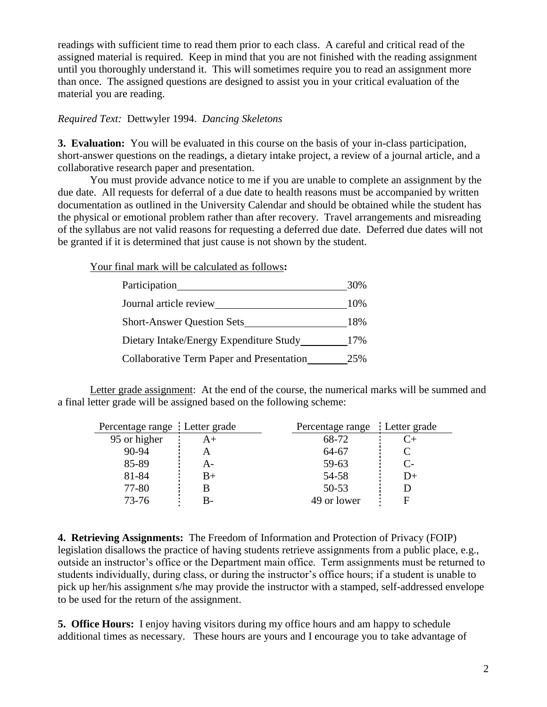readings with sufficient time to read them prior to each class. A careful and critical read of the assigned material is required. Keep in mind that you are not finished with the reading assignment until you thoroughly understand it. This will sometimes require you to read an assignment more than once. The assigned questions are designed to assist you in your critical evaluation of the material you are reading.

*Required Text:* Dettwyler 1994. *Dancing Skeletons*

**3. Evaluation:** You will be evaluated in this course on the basis of your in-class participation, short-answer questions on the readings, a dietary intake project, a review of a journal article, and a collaborative research paper and presentation.

You must provide advance notice to me if you are unable to complete an assignment by the due date. All requests for deferral of a due date to health reasons must be accompanied by written documentation as outlined in the University Calendar and should be obtained while the student has the physical or emotional problem rather than after recovery. Travel arrangements and misreading of the syllabus are not valid reasons for requesting a deferred due date. Deferred due dates will not be granted if it is determined that just cause is not shown by the student.

Your final mark will be calculated as follows**:**

| Participation                                    | 30% |
|--------------------------------------------------|-----|
| Journal article review                           | 10% |
| <b>Short-Answer Question Sets</b>                | 18% |
| Dietary Intake/Energy Expenditure Study          | 17% |
| <b>Collaborative Term Paper and Presentation</b> | 25% |

Letter grade assignment: At the end of the course, the numerical marks will be summed and a final letter grade will be assigned based on the following scheme:

| Percentage range : Letter grade |    | Percentage range Letter grade |                |
|---------------------------------|----|-------------------------------|----------------|
| 95 or higher                    | A+ | 68-72                         | $(\cdot +$     |
| $90 - 94$                       | А  | 64-67                         |                |
| 85-89                           | А- | 59-63                         | $\overline{C}$ |
| 81-84                           | B+ | 54-58                         | D+             |
| 77-80                           |    | $50 - 53$                     |                |
| $73 - 76$                       | В- | 49 or lower                   | F              |

**4. Retrieving Assignments:** The Freedom of Information and Protection of Privacy (FOIP) legislation disallows the practice of having students retrieve assignments from a public place, e.g., outside an instructor's office or the Department main office. Term assignments must be returned to students individually, during class, or during the instructor's office hours; if a student is unable to pick up her/his assignment s/he may provide the instructor with a stamped, self-addressed envelope to be used for the return of the assignment.

**5. Office Hours:**I enjoy having visitors during my office hours and am happy to schedule additional times as necessary. These hours are yours and I encourage you to take advantage of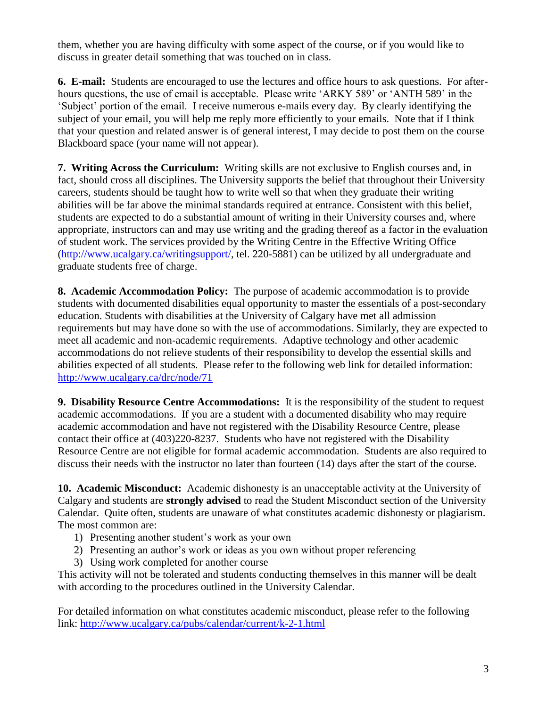them, whether you are having difficulty with some aspect of the course, or if you would like to discuss in greater detail something that was touched on in class.

**6. E-mail:** Students are encouraged to use the lectures and office hours to ask questions. For afterhours questions, the use of email is acceptable. Please write 'ARKY 589' or 'ANTH 589' in the ‗Subject' portion of the email. I receive numerous e-mails every day. By clearly identifying the subject of your email, you will help me reply more efficiently to your emails. Note that if I think that your question and related answer is of general interest, I may decide to post them on the course Blackboard space (your name will not appear).

**7. Writing Across the Curriculum:** Writing skills are not exclusive to English courses and, in fact, should cross all disciplines. The University supports the belief that throughout their University careers, students should be taught how to write well so that when they graduate their writing abilities will be far above the minimal standards required at entrance. Consistent with this belief, students are expected to do a substantial amount of writing in their University courses and, where appropriate, instructors can and may use writing and the grading thereof as a factor in the evaluation of student work. The services provided by the Writing Centre in the Effective Writing Office [\(http://www.ucalgary.ca/writingsupport/,](http://www.ucalgary.ca/writingsupport/) tel. 220-5881) can be utilized by all undergraduate and graduate students free of charge.

**8. Academic Accommodation Policy:** The purpose of academic accommodation is to provide students with documented disabilities equal opportunity to master the essentials of a post-secondary education. Students with disabilities at the University of Calgary have met all admission requirements but may have done so with the use of accommodations. Similarly, they are expected to meet all academic and non-academic requirements. Adaptive technology and other academic accommodations do not relieve students of their responsibility to develop the essential skills and abilities expected of all students. Please refer to the following web link for detailed information: <http://www.ucalgary.ca/drc/node/71>

**9. Disability Resource Centre Accommodations:** It is the responsibility of the student to request academic accommodations. If you are a student with a documented disability who may require academic accommodation and have not registered with the Disability Resource Centre, please contact their office at (403)220-8237. Students who have not registered with the Disability Resource Centre are not eligible for formal academic accommodation. Students are also required to discuss their needs with the instructor no later than fourteen (14) days after the start of the course.

**10. Academic Misconduct:** Academic dishonesty is an unacceptable activity at the University of Calgary and students are **strongly advised** to read the Student Misconduct section of the University Calendar. Quite often, students are unaware of what constitutes academic dishonesty or plagiarism. The most common are:

- 1) Presenting another student's work as your own
- 2) Presenting an author's work or ideas as you own without proper referencing
- 3) Using work completed for another course

This activity will not be tolerated and students conducting themselves in this manner will be dealt with according to the procedures outlined in the University Calendar.

For detailed information on what constitutes academic misconduct, please refer to the following link: <http://www.ucalgary.ca/pubs/calendar/current/k-2-1.html>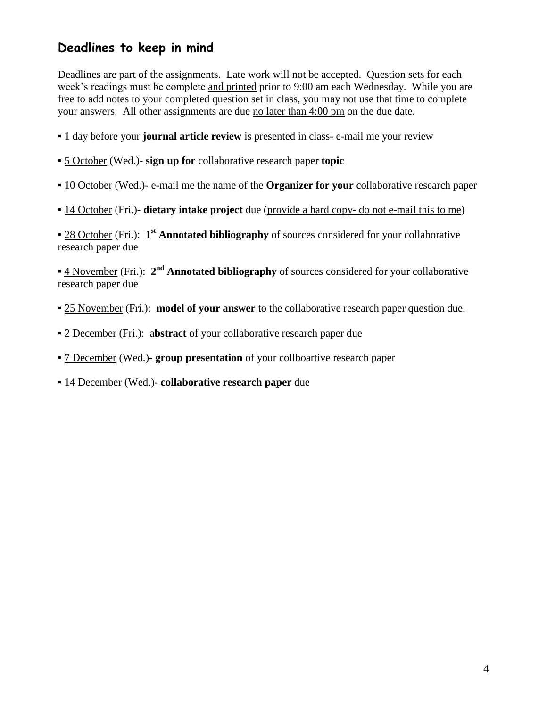### **Deadlines to keep in mind**

Deadlines are part of the assignments. Late work will not be accepted. Question sets for each week's readings must be complete and printed prior to 9:00 am each Wednesday. While you are free to add notes to your completed question set in class, you may not use that time to complete your answers. All other assignments are due no later than 4:00 pm on the due date.

- 1 day before your **journal article review** is presented in class- e-mail me your review
- 5 October (Wed.)- **sign up for** collaborative research paper **topic**
- 10 October (Wed.)- e-mail me the name of the **Organizer for your** collaborative research paper
- 14 October (Fri.)- **dietary intake project** due (provide a hard copy- do not e-mail this to me)

**28 October** (Fri.): 1<sup>st</sup> **Annotated bibliography** of sources considered for your collaborative research paper due

**<u>4 November</u>** (Fri.): 2<sup>nd</sup> **Annotated bibliography** of sources considered for your collaborative research paper due

- 25 November (Fri.): **model of your answer** to the collaborative research paper question due.
- 2 December (Fri.): a**bstract** of your collaborative research paper due
- 7 December (Wed.)- **group presentation** of your collboartive research paper
- 14 December (Wed.)- **collaborative research paper** due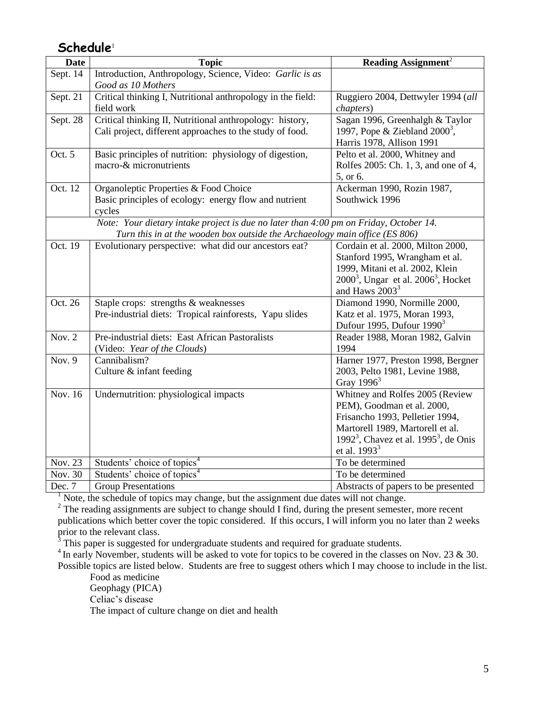#### **Schedule**<sup>1</sup>

| <b>Date</b>                                                                           | <b>Topic</b>                                                                | Reading Assignment <sup>2</sup>                                      |  |
|---------------------------------------------------------------------------------------|-----------------------------------------------------------------------------|----------------------------------------------------------------------|--|
| Sept. 14                                                                              | Introduction, Anthropology, Science, Video: Garlic is as                    |                                                                      |  |
|                                                                                       | Good as 10 Mothers                                                          |                                                                      |  |
| Sept. 21                                                                              | Critical thinking I, Nutritional anthropology in the field:                 | Ruggiero 2004, Dettwyler 1994 (all                                   |  |
|                                                                                       | field work                                                                  | <i>chapters</i> )                                                    |  |
| Sept. 28                                                                              | Critical thinking II, Nutritional anthropology: history,                    | Sagan 1996, Greenhalgh & Taylor                                      |  |
|                                                                                       | Cali project, different approaches to the study of food.                    | 1997, Pope & Ziebland $2000^3$ ,                                     |  |
|                                                                                       |                                                                             | Harris 1978, Allison 1991                                            |  |
| Oct. 5                                                                                | Basic principles of nutrition: physiology of digestion,                     | Pelto et al. 2000, Whitney and                                       |  |
|                                                                                       | macro-& micronutrients                                                      | Rolfes 2005: Ch. 1, 3, and one of 4,                                 |  |
|                                                                                       |                                                                             | 5, or 6.                                                             |  |
| Oct. 12                                                                               | Organoleptic Properties & Food Choice                                       | Ackerman 1990, Rozin 1987,                                           |  |
|                                                                                       | Basic principles of ecology: energy flow and nutrient                       | Southwick 1996                                                       |  |
|                                                                                       | cycles                                                                      |                                                                      |  |
| Note: Your dietary intake project is due no later than 4:00 pm on Friday, October 14. |                                                                             |                                                                      |  |
|                                                                                       | Turn this in at the wooden box outside the Archaeology main office (ES 806) |                                                                      |  |
| Oct. 19                                                                               | Evolutionary perspective: what did our ancestors eat?                       | Cordain et al. 2000, Milton 2000,                                    |  |
|                                                                                       |                                                                             | Stanford 1995, Wrangham et al.                                       |  |
|                                                                                       |                                                                             | 1999, Mitani et al. 2002, Klein                                      |  |
|                                                                                       |                                                                             | $20003$ , Ungar et al. $20063$ , Hocket                              |  |
|                                                                                       |                                                                             | and Haws $20033$                                                     |  |
| Oct. 26                                                                               | Staple crops: strengths & weaknesses                                        | Diamond 1990, Normille 2000,                                         |  |
|                                                                                       | Pre-industrial diets: Tropical rainforests, Yapu slides                     | Katz et al. 1975, Moran 1993,                                        |  |
| Nov. $2$                                                                              | Pre-industrial diets: East African Pastoralists                             | Dufour 1995, Dufour $1990^3$                                         |  |
|                                                                                       |                                                                             | Reader 1988, Moran 1982, Galvin<br>1994                              |  |
|                                                                                       | (Video: Year of the Clouds)<br>Cannibalism?                                 |                                                                      |  |
| Nov. 9                                                                                | Culture & infant feeding                                                    | Harner 1977, Preston 1998, Bergner<br>2003, Pelto 1981, Levine 1988, |  |
|                                                                                       |                                                                             | Gray $19963$                                                         |  |
| Nov. 16                                                                               | Undernutrition: physiological impacts                                       | Whitney and Rolfes 2005 (Review                                      |  |
|                                                                                       |                                                                             | PEM), Goodman et al. 2000,                                           |  |
|                                                                                       |                                                                             | Frisancho 1993, Pelletier 1994,                                      |  |
|                                                                                       |                                                                             | Martorell 1989, Martorell et al.                                     |  |
|                                                                                       |                                                                             | 1992 <sup>3</sup> , Chavez et al. 1995 <sup>3</sup> , de Onis        |  |
|                                                                                       |                                                                             | et al. 1993 <sup>3</sup>                                             |  |
| Nov. 23                                                                               | Students' choice of topics <sup>4</sup>                                     | To be determined                                                     |  |
| Nov. 30                                                                               | Students' choice of topics <sup>4</sup>                                     | To be determined                                                     |  |
| Dec. 7                                                                                | Group Presentations                                                         | Abstracts of papers to be presented                                  |  |

<sup>1</sup> Note, the schedule of topics may change, but the assignment due dates will not change.

<sup>2</sup> The reading assignments are subject to change should I find, during the present semester, more recent publications which better cover the topic considered. If this occurs, I will inform you no later than 2 weeks prior to the relevant class.

 $3$  This paper is suggested for undergraduate students and required for graduate students.

<sup>4</sup> In early November, students will be asked to vote for topics to be covered in the classes on Nov. 23 & 30.

Possible topics are listed below. Students are free to suggest others which I may choose to include in the list. Food as medicine

Geophagy (PICA)

Celiac's disease

The impact of culture change on diet and health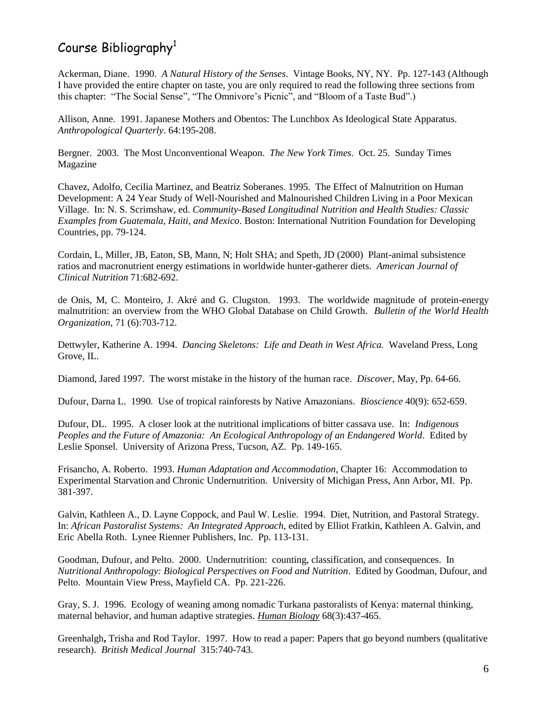## Course Bibliography<sup>1</sup>

Ackerman, Diane. 1990. *A Natural History of the Senses*. Vintage Books, NY, NY. Pp. 127-143 (Although I have provided the entire chapter on taste, you are only required to read the following three sections from this chapter: "The Social Sense", "The Omnivore's Picnic", and "Bloom of a Taste Bud".)

Allison, Anne. 1991. Japanese Mothers and Obentos: The Lunchbox As Ideological State Apparatus. *Anthropological Quarterly*. 64:195-208.

Bergner. 2003. The Most Unconventional Weapon. *The New York Times*. Oct. 25. Sunday Times Magazine

Chavez, Adolfo, Cecilia Martinez, and Beatriz Soberanes. 1995. The Effect of Malnutrition on Human Development: A 24 Year Study of Well-Nourished and Malnourished Children Living in a Poor Mexican Village. In: N. S. Scrimshaw, ed. *Community-Based Longitudinal Nutrition and Health Studies: Classic Examples from Guatemala, Haiti, and Mexico*. Boston: International Nutrition Foundation for Developing Countries, pp. 79-124.

Cordain, L, Miller, JB, Eaton, SB, Mann, N; Holt SHA; and Speth, JD (2000) Plant-animal subsistence ratios and macronutrient energy estimations in worldwide hunter-gatherer diets. *American Journal of Clinical Nutrition* 71:682-692.

de Onis, M, C. Monteiro, J. Akré and G. Clugston. 1993. The worldwide magnitude of protein-energy malnutrition: an overview from the WHO Global Database on Child Growth. *Bulletin of the World Health Organization*, 71 (6):703-712.

Dettwyler, Katherine A. 1994. *Dancing Skeletons: Life and Death in West Africa.* Waveland Press, Long Grove, IL.

Diamond, Jared 1997. The worst mistake in the history of the human race. *Discover*, May, Pp. 64-66.

Dufour, Darna L. 1990. Use of tropical rainforests by Native Amazonians. *Bioscience* 40(9): 652-659.

Dufour, DL. 1995. A closer look at the nutritional implications of bitter cassava use. In: *Indigenous Peoples and the Future of Amazonia: An Ecological Anthropology of an Endangered World*. Edited by Leslie Sponsel. University of Arizona Press, Tucson, AZ. Pp. 149-165.

Frisancho, A. Roberto. 1993. *Human Adaptation and Accommodation*, Chapter 16: Accommodation to Experimental Starvation and Chronic Undernutrition. University of Michigan Press, Ann Arbor, MI. Pp. 381-397.

Galvin, Kathleen A., D. Layne Coppock, and Paul W. Leslie. 1994. Diet, Nutrition, and Pastoral Strategy. In: *African Pastoralist Systems: An Integrated Approach*, edited by Elliot Fratkin, Kathleen A. Galvin, and Eric Abella Roth. Lynee Rienner Publishers, Inc. Pp. 113-131.

Goodman, Dufour, and Pelto. 2000. Undernutrition: counting, classification, and consequences. In *Nutritional Anthropology: Biological Perspectives on Food and Nutrition*. Edited by Goodman, Dufour, and Pelto. Mountain View Press, Mayfield CA. Pp. 221-226.

Gray, S. J. 1996. Ecology of weaning among nomadic Turkana pastoralists of Kenya: maternal thinking, maternal behavior, and human adaptive strategies. *Human Biology* 68(3):437-465.

Greenhalgh**,** Trisha and Rod Taylor. 1997. How to read a paper: Papers that go beyond numbers (qualitative research). *British Medical Journal* 315:740-743.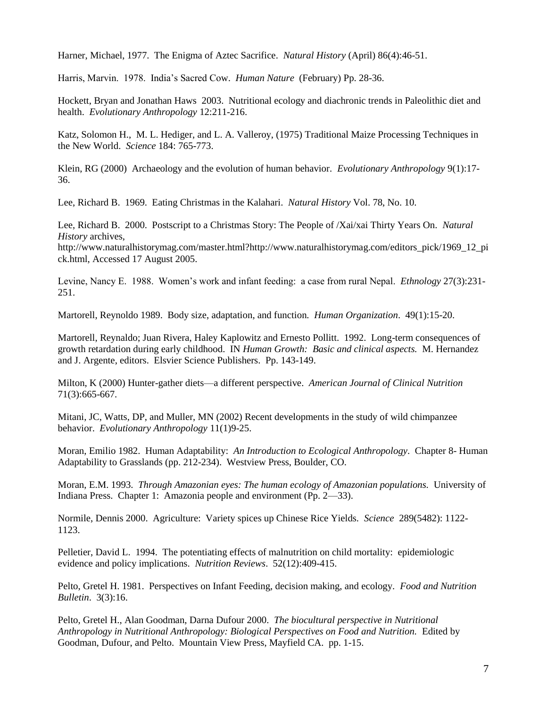Harner, Michael, 1977. The Enigma of Aztec Sacrifice. *Natural History* (April) 86(4):46-51.

Harris, Marvin. 1978. India's Sacred Cow. *Human Nature* (February) Pp. 28-36.

Hockett, Bryan and Jonathan Haws 2003. Nutritional ecology and diachronic trends in Paleolithic diet and health. *Evolutionary Anthropology* 12:211-216.

Katz, Solomon H., M. L. Hediger, and L. A. Valleroy, (1975) Traditional Maize Processing Techniques in the New World. *Science* 184: 765-773.

Klein, RG (2000) Archaeology and the evolution of human behavior. *Evolutionary Anthropology* 9(1):17- 36.

Lee, Richard B. 1969. Eating Christmas in the Kalahari. *Natural History* Vol. 78, No. 10.

Lee, Richard B. 2000. Postscript to a Christmas Story: The People of /Xai/xai Thirty Years On. *Natural History* archives,

http://www.naturalhistorymag.com/master.html?http://www.naturalhistorymag.com/editors\_pick/1969\_12\_pi ck.html, Accessed 17 August 2005.

Levine, Nancy E. 1988. Women's work and infant feeding: a case from rural Nepal. *Ethnology* 27(3):231- 251.

Martorell, Reynoldo 1989. Body size, adaptation, and function*. Human Organization*. 49(1):15-20.

Martorell, Reynaldo; Juan Rivera, Haley Kaplowitz and Ernesto Pollitt. 1992. Long-term consequences of growth retardation during early childhood. IN *Human Growth: Basic and clinical aspects.* M. Hernandez and J. Argente, editors. Elsvier Science Publishers. Pp. 143-149.

Milton, K (2000) Hunter-gather diets—a different perspective. *American Journal of Clinical Nutrition* 71(3):665-667.

Mitani, JC, Watts, DP, and Muller, MN (2002) Recent developments in the study of wild chimpanzee behavior. *Evolutionary Anthropology* 11(1)9-25.

Moran, Emilio 1982. Human Adaptability: *An Introduction to Ecological Anthropology*. Chapter 8- Human Adaptability to Grasslands (pp. 212-234). Westview Press, Boulder, CO.

Moran, E.M. 1993. *Through Amazonian eyes: The human ecology of Amazonian populations.* University of Indiana Press. Chapter 1: Amazonia people and environment (Pp. 2—33).

Normile, Dennis 2000. Agriculture: Variety spices up Chinese Rice Yields. *Science* 289(5482): 1122- 1123.

Pelletier, David L. 1994. The potentiating effects of malnutrition on child mortality: epidemiologic evidence and policy implications. *Nutrition Reviews*. 52(12):409-415.

Pelto, Gretel H. 1981. Perspectives on Infant Feeding, decision making, and ecology. *Food and Nutrition Bulletin*. 3(3):16.

Pelto, Gretel H., Alan Goodman, Darna Dufour 2000. *The biocultural perspective in Nutritional Anthropology in Nutritional Anthropology: Biological Perspectives on Food and Nutrition.* Edited by Goodman, Dufour, and Pelto. Mountain View Press, Mayfield CA. pp. 1-15.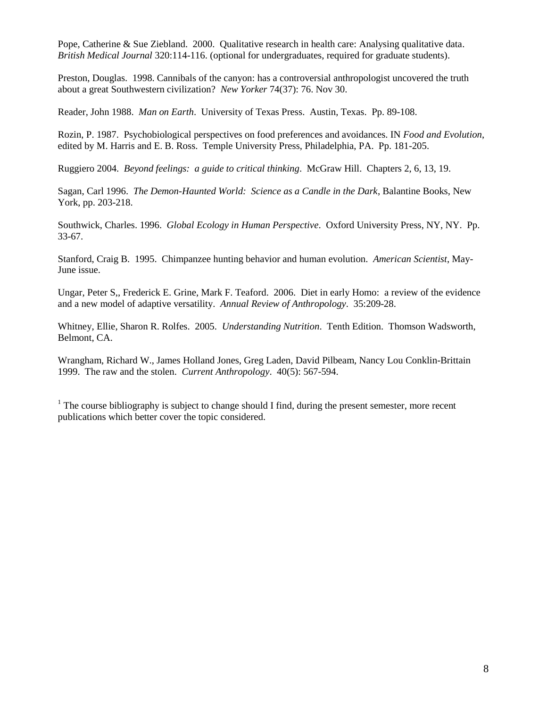Pope, Catherine & Sue Ziebland. 2000. Qualitative research in health care: Analysing qualitative data. *British Medical Journal* 320:114-116. (optional for undergraduates, required for graduate students).

Preston, Douglas. 1998. Cannibals of the canyon: has a controversial anthropologist uncovered the truth about a great Southwestern civilization? *New Yorker* 74(37): 76. Nov 30.

Reader, John 1988. *Man on Earth*. University of Texas Press. Austin, Texas. Pp. 89-108.

Rozin, P. 1987. Psychobiological perspectives on food preferences and avoidances. IN *Food and Evolution*, edited by M. Harris and E. B. Ross. Temple University Press, Philadelphia, PA. Pp. 181-205.

Ruggiero 2004. *Beyond feelings: a guide to critical thinking*. McGraw Hill. Chapters 2, 6, 13, 19.

Sagan, Carl 1996. *The Demon-Haunted World: Science as a Candle in the Dark*, Balantine Books, New York, pp. 203-218.

Southwick, Charles. 1996. *Global Ecology in Human Perspective*. Oxford University Press, NY, NY. Pp. 33-67.

Stanford, Craig B. 1995. Chimpanzee hunting behavior and human evolution. *American Scientist*, May-June issue.

Ungar, Peter S,, Frederick E. Grine, Mark F. Teaford. 2006. Diet in early Homo: a review of the evidence and a new model of adaptive versatility. *Annual Review of Anthropology*. 35:209-28.

Whitney, Ellie, Sharon R. Rolfes. 2005. *Understanding Nutrition*. Tenth Edition. Thomson Wadsworth, Belmont, CA.

Wrangham, Richard W., James Holland Jones, Greg Laden, David Pilbeam, Nancy Lou Conklin-Brittain 1999. The raw and the stolen. *Current Anthropology*. 40(5): 567-594.

 $<sup>1</sup>$  The course bibliography is subject to change should I find, during the present semester, more recent</sup> publications which better cover the topic considered.